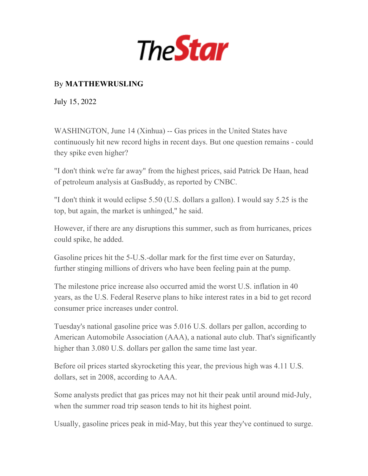

## By **MATTHEWRUSLING**

July 15, 2022

WASHINGTON, June 14 (Xinhua) -- Gas prices in the United States have continuously hit new record highs in recent days. But one question remains - could they spike even higher?

"I don't think we're far away" from the highest prices, said Patrick De Haan, head of petroleum analysis at GasBuddy, as reported by CNBC.

"I don't think it would eclipse 5.50 (U.S. dollars a gallon). I would say 5.25 is the top, but again, the market is unhinged," he said.

However, if there are any disruptions this summer, such as from hurricanes, prices could spike, he added.

Gasoline prices hit the 5-U.S.-dollar mark for the first time ever on Saturday, further stinging millions of drivers who have been feeling pain at the pump.

The milestone price increase also occurred amid the worst U.S. inflation in 40 years, as the U.S. Federal Reserve plans to hike interest rates in a bid to get record consumer price increases under control.

Tuesday's national gasoline price was 5.016 U.S. dollars per gallon, according to American Automobile Association (AAA), a national auto club. That's significantly higher than 3.080 U.S. dollars per gallon the same time last year.

Before oil prices started skyrocketing this year, the previous high was 4.11 U.S. dollars, set in 2008, according to AAA.

Some analysts predict that gas prices may not hit their peak until around mid-July, when the summer road trip season tends to hit its highest point.

Usually, gasoline prices peak in mid-May, but this year they've continued to surge.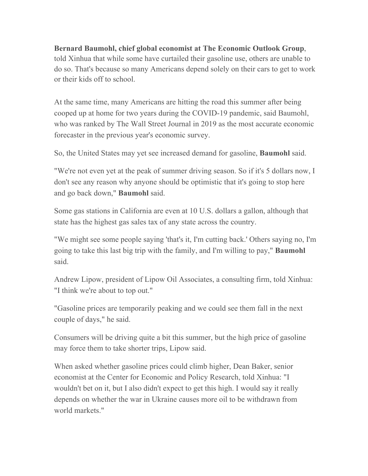## **Bernard Baumohl, chief global economist at The Economic Outlook Group**,

told Xinhua that while some have curtailed their gasoline use, others are unable to do so. That's because so many Americans depend solely on their cars to get to work or their kids off to school.

At the same time, many Americans are hitting the road this summer after being cooped up at home for two years during the COVID-19 pandemic, said Baumohl, who was ranked by The Wall Street Journal in 2019 as the most accurate economic forecaster in the previous year's economic survey.

So, the United States may yet see increased demand for gasoline, **Baumohl** said.

"We're not even yet at the peak of summer driving season. So if it's 5 dollars now, I don't see any reason why anyone should be optimistic that it's going to stop here and go back down," **Baumohl** said.

Some gas stations in California are even at 10 U.S. dollars a gallon, although that state has the highest gas sales tax of any state across the country.

"We might see some people saying 'that's it, I'm cutting back.' Others saying no, I'm going to take this last big trip with the family, and I'm willing to pay," **Baumohl** said.

Andrew Lipow, president of Lipow Oil Associates, a consulting firm, told Xinhua: "I think we're about to top out."

"Gasoline prices are temporarily peaking and we could see them fall in the next couple of days," he said.

Consumers will be driving quite a bit this summer, but the high price of gasoline may force them to take shorter trips, Lipow said.

When asked whether gasoline prices could climb higher, Dean Baker, senior economist at the Center for Economic and Policy Research, told Xinhua: "I wouldn't bet on it, but I also didn't expect to get this high. I would say it really depends on whether the war in Ukraine causes more oil to be withdrawn from world markets."